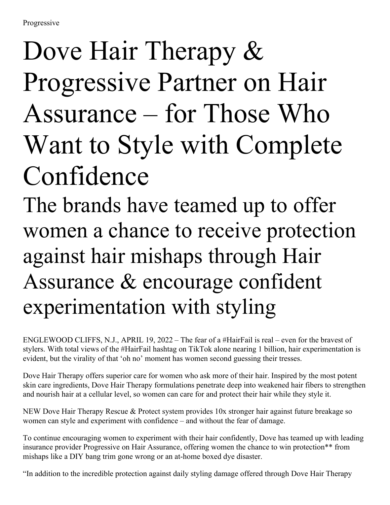## Dove Hair Therapy  $\&$ Progressive Partner on Hair Assurance – for Those Who Want to Style with Complete Confidence

The brands have teamed up to offer women a chance to receive protection against hair mishaps through Hair Assurance & encourage confident experimentation with styling

ENGLEWOOD CLIFFS, N.J., APRIL 19, 2022 – The fear of a #HairFail is real – even for the bravest of stylers. With total views of the #HairFail hashtag on TikTok alone nearing 1 billion, hair experimentation is evident, but the virality of that 'oh no' moment has women second guessing their tresses.

Dove Hair Therapy offers superior care for women who ask more of their hair. Inspired by the most potent skin care ingredients, Dove Hair Therapy formulations penetrate deep into weakened hair fibers to strengthen and nourish hair at a cellular level, so women can care for and protect their hair while they style it.

NEW Dove Hair Therapy Rescue & Protect system provides 10x stronger hair against future breakage so women can style and experiment with confidence – and without the fear of damage.

To continue encouraging women to experiment with their hair confidently, Dove has teamed up with leading insurance provider Progressive on Hair Assurance, offering women the chance to win protection\*\* from mishaps like a DIY bang trim gone wrong or an at-home boxed dye disaster.

"In addition to the incredible protection against daily styling damage offered through Dove Hair Therapy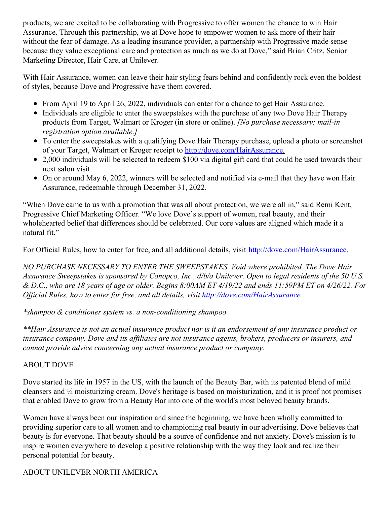products, we are excited to be collaborating with Progressive to offer women the chance to win Hair Assurance. Through this partnership, we at Dove hope to empower women to ask more of their hair – without the fear of damage. As a leading insurance provider, a partnership with Progressive made sense because they value exceptional care and protection as much as we do at Dove," said Brian Critz, Senior Marketing Director, Hair Care, at Unilever.

With Hair Assurance, women can leave their hair styling fears behind and confidently rock even the boldest of styles, because Dove and Progressive have them covered.

- From April 19 to April 26, 2022, individuals can enter for a chance to get Hair Assurance.
- Individuals are eligible to enter the sweepstakes with the purchase of any two Dove Hair Therapy products from Target, Walmart or Kroger (in store or online). *[No purchase necessary; mail-in registration option available.]*
- To enter the sweepstakes with a qualifying Dove Hair Therapy purchase, upload a photo or screenshot of your Target, Walmart or Kroger receipt to <http://dove.com/HairAssurance>.
- 2,000 individuals will be selected to redeem \$100 via digital gift card that could be used towards their next salon visit
- On or around May 6, 2022, winners will be selected and notified via e-mail that they have won Hair Assurance, redeemable through December 31, 2022.

"When Dove came to us with a promotion that was all about protection, we were all in," said Remi Kent, Progressive Chief Marketing Officer. "We love Dove's support of women, real beauty, and their wholehearted belief that differences should be celebrated. Our core values are aligned which made it a natural fit."

For Official Rules, how to enter for free, and all additional details, visit <http://dove.com/HairAssurance>.

*NO PURCHASE NECESSARY TO ENTER THE SWEEPSTAKES. Void where prohibited. The Dove Hair* Assurance Sweepstakes is sponsored by Conopco, Inc., d/b/a Unilever. Open to legal residents of the 50 U.S. & D.C., who are 18 years of age or older. Begins 8:00AM ET 4/19/22 and ends 11:59PM ET on 4/26/22. For *Of icial Rules, how to enter for free, and all details, visit <http://dove.com/HairAssurance>.*

*\*shampoo & conditioner system vs. a non-conditioning shampoo*

\*\*Hair Assurance is not an actual insurance product nor is it an endorsement of any insurance product or *insurance company. Dove and its af iliates are not insurance agents, brokers, producers or insurers, and cannot provide advice concerning any actual insurance product or company.*

## ABOUT DOVE

Dove started its life in 1957 in the US, with the launch of the Beauty Bar, with its patented blend of mild cleansers and ¼ moisturizing cream. Dove's heritage is based on moisturization, and it is proof not promises that enabled Dove to grow from a Beauty Bar into one of the world's most beloved beauty brands.

Women have always been our inspiration and since the beginning, we have been wholly committed to providing superior care to all women and to championing real beauty in our advertising. Dove believes that beauty is for everyone. That beauty should be a source of confidence and not anxiety. Dove's mission is to inspire women everywhere to develop a positive relationship with the way they look and realize their personal potential for beauty.

## ABOUT UNILEVER NORTH AMERICA